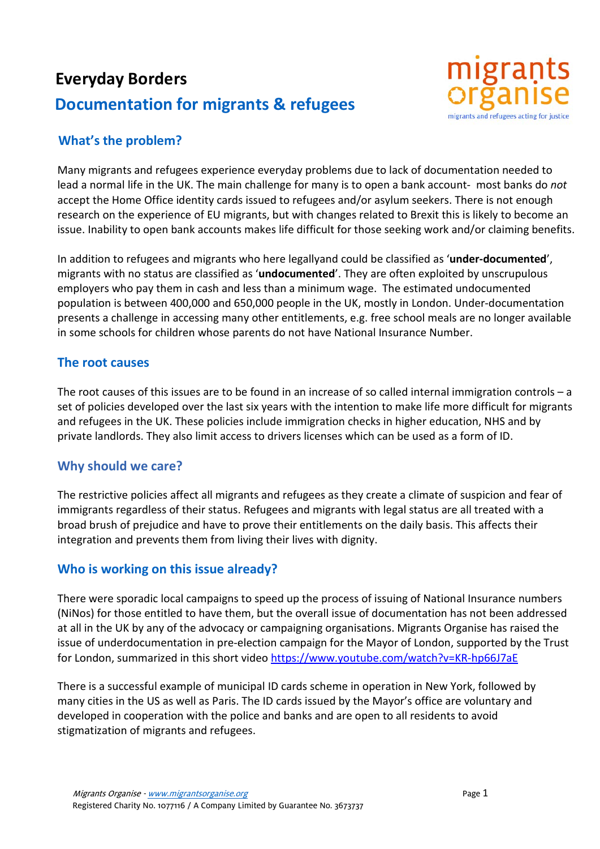# **Everyday Borders Documentation for migrants & refugees**



## **What's the problem?**

Many migrants and refugees experience everyday problems due to lack of documentation needed to lead a normal life in the UK. The main challenge for many is to open a bank account- most banks do *not* accept the Home Office identity cards issued to refugees and/or asylum seekers. There is not enough research on the experience of EU migrants, but with changes related to Brexit this is likely to become an issue. Inability to open bank accounts makes life difficult for those seeking work and/or claiming benefits.

In addition to refugees and migrants who here legallyand could be classified as '**under-documented**', migrants with no status are classified as '**undocumented**'. They are often exploited by unscrupulous employers who pay them in cash and less than a minimum wage. The estimated undocumented population is between 400,000 and 650,000 people in the UK, mostly in London. Under-documentation presents a challenge in accessing many other entitlements, e.g. free school meals are no longer available in some schools for children whose parents do not have National Insurance Number.

#### **The root causes**

The root causes of this issues are to be found in an increase of so called internal immigration controls – a set of policies developed over the last six years with the intention to make life more difficult for migrants and refugees in the UK. These policies include immigration checks in higher education, NHS and by private landlords. They also limit access to drivers licenses which can be used as a form of ID.

#### **Why should we care?**

The restrictive policies affect all migrants and refugees as they create a climate of suspicion and fear of immigrants regardless of their status. Refugees and migrants with legal status are all treated with a broad brush of prejudice and have to prove their entitlements on the daily basis. This affects their integration and prevents them from living their lives with dignity.

## **Who is working on this issue already?**

There were sporadic local campaigns to speed up the process of issuing of National Insurance numbers (NiNos) for those entitled to have them, but the overall issue of documentation has not been addressed at all in the UK by any of the advocacy or campaigning organisations. Migrants Organise has raised the issue of underdocumentation in pre-election campaign for the Mayor of London, supported by the Trust for London, summarized in this short video<https://www.youtube.com/watch?v=KR-hp66J7aE>

There is a successful example of municipal ID cards scheme in operation in New York, followed by many cities in the US as well as Paris. The ID cards issued by the Mayor's office are voluntary and developed in cooperation with the police and banks and are open to all residents to avoid stigmatization of migrants and refugees.